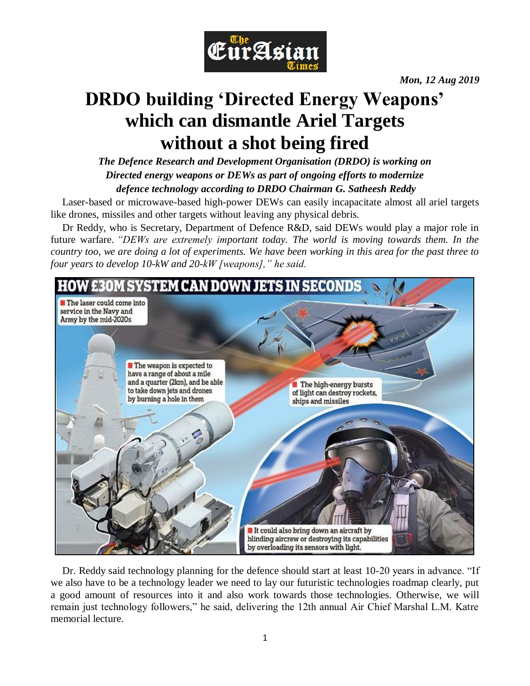

*Mon, 12 Aug 2019*

# **DRDO building 'Directed Energy Weapons' which can dismantle Ariel Targets without a shot being fired**

*The Defence Research and Development Organisation (DRDO) is working on Directed energy weapons or DEWs as part of ongoing efforts to modernize defence technology according to DRDO Chairman G. Satheesh Reddy*

Laser-based or microwave-based high-power DEWs can easily incapacitate almost all ariel targets like drones, missiles and other targets without leaving any physical debris.

Dr Reddy, who is Secretary, Department of Defence R&D, said DEWs would play a major role in future warfare. *"DEWs are extremely important today. The world is moving towards them. In the country too, we are doing a lot of experiments. We have been working in this area for the past three to four years to develop 10-kW and 20-kW [weapons]," he said.*



Dr. Reddy said technology planning for the defence should start at least 10-20 years in advance. "If we also have to be a technology leader we need to lay our futuristic technologies roadmap clearly, put a good amount of resources into it and also work towards those technologies. Otherwise, we will remain just technology followers," he said, delivering the 12th annual Air Chief Marshal L.M. Katre memorial lecture.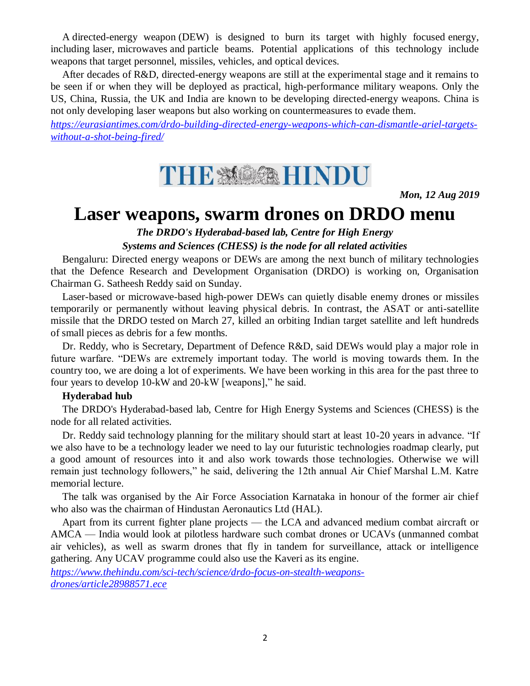A directed-energy weapon (DEW) is designed to burn its target with highly focused energy, including laser, microwaves and particle beams. Potential applications of this technology include weapons that target personnel, missiles, vehicles, and optical devices.

After decades of R&D, directed-energy weapons are still at the experimental stage and it remains to be seen if or when they will be deployed as practical, high-performance military weapons. Only the US, China, Russia, the UK and India are known to be developing directed-energy weapons. China is not only developing laser weapons but also working on countermeasures to evade them.

*[https://eurasiantimes.com/drdo-building-directed-energy-weapons-which-can-dismantle-ariel-targets](https://eurasiantimes.com/drdo-building-directed-energy-weapons-which-can-dismantle-ariel-targets-without-a-shot-being-fired/)[without-a-shot-being-fired/](https://eurasiantimes.com/drdo-building-directed-energy-weapons-which-can-dismantle-ariel-targets-without-a-shot-being-fired/)*



*Mon, 12 Aug 2019*

### **Laser weapons, swarm drones on DRDO menu**

*The DRDO's Hyderabad-based lab, Centre for High Energy Systems and Sciences (CHESS) is the node for all related activities*

Bengaluru: Directed energy weapons or DEWs are among the next bunch of military technologies that the Defence Research and Development Organisation (DRDO) is working on, Organisation Chairman G. Satheesh Reddy said on Sunday.

Laser-based or microwave-based high-power DEWs can quietly disable enemy drones or missiles temporarily or permanently without leaving physical debris. In contrast, the ASAT or anti-satellite missile that the DRDO tested on March 27, killed an orbiting Indian target satellite and left hundreds of small pieces as debris for a few months.

Dr. Reddy, who is Secretary, Department of Defence R&D, said DEWs would play a major role in future warfare. "DEWs are extremely important today. The world is moving towards them. In the country too, we are doing a lot of experiments. We have been working in this area for the past three to four years to develop 10-kW and 20-kW [weapons]," he said.

#### **Hyderabad hub**

The DRDO's Hyderabad-based lab, Centre for High Energy Systems and Sciences (CHESS) is the node for all related activities.

Dr. Reddy said technology planning for the military should start at least 10-20 years in advance. "If we also have to be a technology leader we need to lay our futuristic technologies roadmap clearly, put a good amount of resources into it and also work towards those technologies. Otherwise we will remain just technology followers," he said, delivering the 12th annual Air Chief Marshal L.M. Katre memorial lecture.

The talk was organised by the Air Force Association Karnataka in honour of the former air chief who also was the chairman of Hindustan Aeronautics Ltd (HAL).

Apart from its current fighter plane projects — the LCA and advanced medium combat aircraft or AMCA — India would look at pilotless hardware such combat drones or UCAVs (unmanned combat air vehicles), as well as swarm drones that fly in tandem for surveillance, attack or intelligence gathering. Any UCAV programme could also use the Kaveri as its engine.

*[https://www.thehindu.com/sci-tech/science/drdo-focus-on-stealth-weapons](https://www.thehindu.com/sci-tech/science/drdo-focus-on-stealth-weapons-drones/article28988571.ece)[drones/article28988571.ece](https://www.thehindu.com/sci-tech/science/drdo-focus-on-stealth-weapons-drones/article28988571.ece)*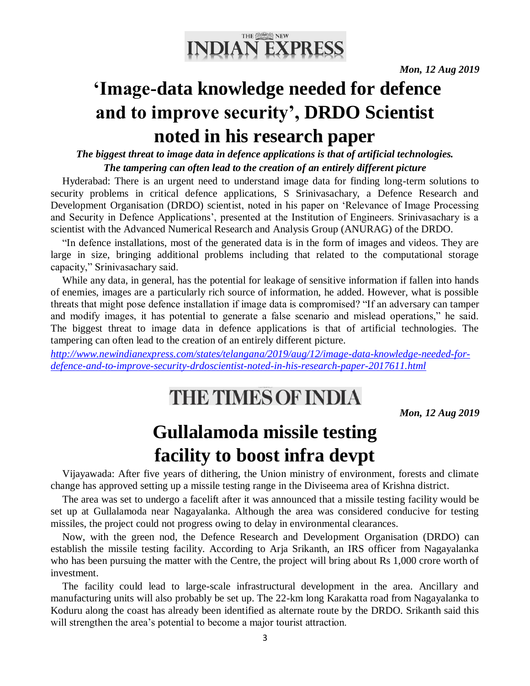

# **'Image-data knowledge needed for defence and to improve security', DRDO Scientist noted in his research paper**

*The biggest threat to image data in defence applications is that of artificial technologies. The tampering can often lead to the creation of an entirely different picture*

Hyderabad: There is an urgent need to understand image data for finding long-term solutions to security problems in critical defence applications, S Srinivasachary, a Defence Research and Development Organisation (DRDO) scientist, noted in his paper on 'Relevance of Image Processing and Security in Defence Applications', presented at the Institution of Engineers. Srinivasachary is a scientist with the Advanced Numerical Research and Analysis Group (ANURAG) of the DRDO.

"In defence installations, most of the generated data is in the form of images and videos. They are large in size, bringing additional problems including that related to the computational storage capacity," Srinivasachary said.

While any data, in general, has the potential for leakage of sensitive information if fallen into hands of enemies, images are a particularly rich source of information, he added. However, what is possible threats that might pose defence installation if image data is compromised? "If an adversary can tamper and modify images, it has potential to generate a false scenario and mislead operations," he said. The biggest threat to image data in defence applications is that of artificial technologies. The tampering can often lead to the creation of an entirely different picture.

*[http://www.newindianexpress.com/states/telangana/2019/aug/12/image-data-knowledge-needed-for](http://www.newindianexpress.com/states/telangana/2019/aug/12/image-data-knowledge-needed-for-defence-and-to-improve-security-drdoscientist-noted-in-his-research-paper-2017611.html)[defence-and-to-improve-security-drdoscientist-noted-in-his-research-paper-2017611.html](http://www.newindianexpress.com/states/telangana/2019/aug/12/image-data-knowledge-needed-for-defence-and-to-improve-security-drdoscientist-noted-in-his-research-paper-2017611.html)*

# THE TIMES OF INDIA

*Mon, 12 Aug 2019*

## **Gullalamoda missile testing facility to boost infra devpt**

Vijayawada: After five years of dithering, the Union ministry of environment, forests and climate change has approved setting up a missile testing range in the Diviseema area of Krishna district.

The area was set to undergo a facelift after it was announced that a missile testing facility would be set up at Gullalamoda near Nagayalanka. Although the area was considered conducive for testing missiles, the project could not progress owing to delay in environmental clearances.

Now, with the green nod, the Defence Research and Development Organisation (DRDO) can establish the missile testing facility. According to Arja Srikanth, an IRS officer from Nagayalanka who has been pursuing the matter with the Centre, the project will bring about Rs 1,000 crore worth of investment.

The facility could lead to large-scale infrastructural development in the area. Ancillary and manufacturing units will also probably be set up. The 22-km long Karakatta road from Nagayalanka to Koduru along the coast has already been identified as alternate route by the DRDO. Srikanth said this will strengthen the area's potential to become a major tourist attraction.